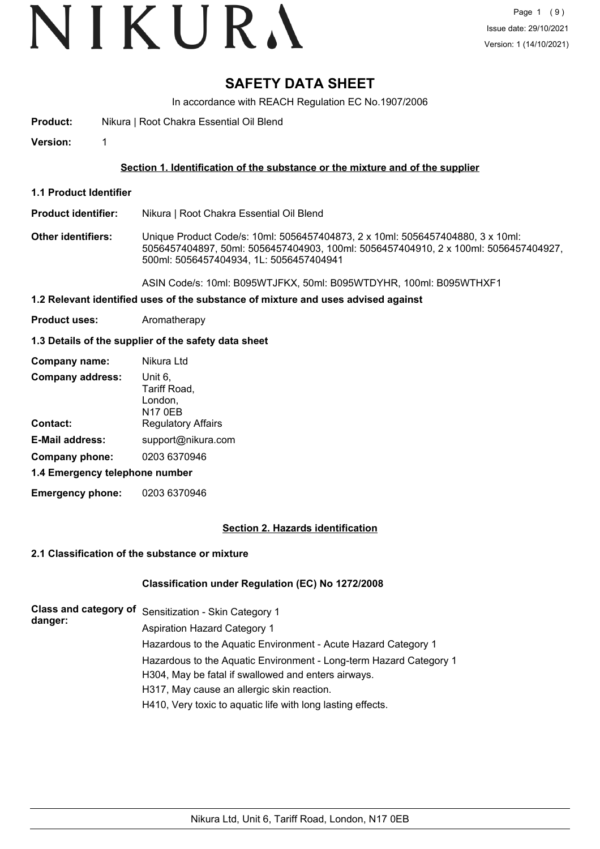# VIKURA

### **SAFETY DATA SHEET**

In accordance with REACH Regulation EC No.1907/2006

**Product:** Nikura | Root Chakra Essential Oil Blend

**Version:** 1

#### **Section 1. Identification of the substance or the mixture and of the supplier**

- **1.1 Product Identifier**
- **Product identifier:** Nikura | Root Chakra Essential Oil Blend
- **Other identifiers:** Unique Product Code/s: 10ml: 5056457404873, 2 x 10ml: 5056457404880, 3 x 10ml: 5056457404897, 50ml: 5056457404903, 100ml: 5056457404910, 2 x 100ml: 5056457404927, 500ml: 5056457404934, 1L: 5056457404941

ASIN Code/s: 10ml: B095WTJFKX, 50ml: B095WTDYHR, 100ml: B095WTHXF1

- **1.2 Relevant identified uses of the substance of mixture and uses advised against**
- **Product uses:** Aromatherapy

#### **1.3 Details of the supplier of the safety data sheet**

| Company name:                  | Nikura Ltd                                           |
|--------------------------------|------------------------------------------------------|
| <b>Company address:</b>        | Unit 6,<br>Tariff Road,<br>London,<br><b>N17 0EB</b> |
| Contact:                       | <b>Regulatory Affairs</b>                            |
| <b>E-Mail address:</b>         | support@nikura.com                                   |
| Company phone:                 | 0203 6370946                                         |
| 1.4 Emergency telephone number |                                                      |
|                                |                                                      |

**Emergency phone:** 0203 6370946

#### **Section 2. Hazards identification**

#### **2.1 Classification of the substance or mixture**

#### **Classification under Regulation (EC) No 1272/2008**

| danger: | Class and category of Sensitization - Skin Category 1              |
|---------|--------------------------------------------------------------------|
|         | <b>Aspiration Hazard Category 1</b>                                |
|         | Hazardous to the Aquatic Environment - Acute Hazard Category 1     |
|         | Hazardous to the Aquatic Environment - Long-term Hazard Category 1 |
|         | H304, May be fatal if swallowed and enters airways.                |
|         | H317, May cause an allergic skin reaction.                         |
|         | H410, Very toxic to aquatic life with long lasting effects.        |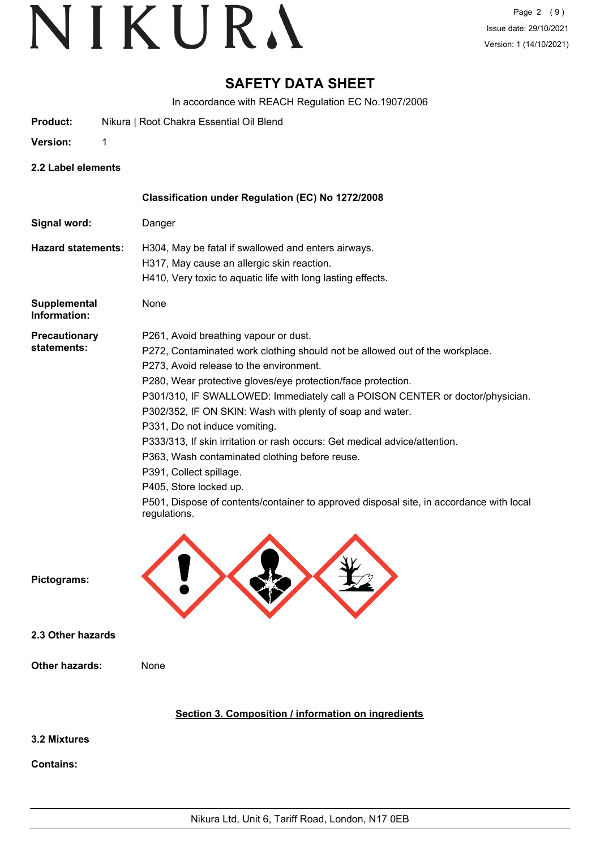### **SAFETY DATA SHEET**

In accordance with REACH Regulation EC No.1907/2006

- **Product:** Nikura | Root Chakra Essential Oil Blend
- **Version:** 1

**2.2 Label elements**

|                                     | Classification under Regulation (EC) No 1272/2008                                                                                                                                                                                                                                                                                                                                                                                                                                                                                                                                                                                                                                                               |
|-------------------------------------|-----------------------------------------------------------------------------------------------------------------------------------------------------------------------------------------------------------------------------------------------------------------------------------------------------------------------------------------------------------------------------------------------------------------------------------------------------------------------------------------------------------------------------------------------------------------------------------------------------------------------------------------------------------------------------------------------------------------|
| Signal word:                        | Danger                                                                                                                                                                                                                                                                                                                                                                                                                                                                                                                                                                                                                                                                                                          |
| <b>Hazard statements:</b>           | H304, May be fatal if swallowed and enters airways.<br>H317, May cause an allergic skin reaction.<br>H410, Very toxic to aquatic life with long lasting effects.                                                                                                                                                                                                                                                                                                                                                                                                                                                                                                                                                |
| <b>Supplemental</b><br>Information: | None                                                                                                                                                                                                                                                                                                                                                                                                                                                                                                                                                                                                                                                                                                            |
| <b>Precautionary</b><br>statements: | P261, Avoid breathing vapour or dust.<br>P272, Contaminated work clothing should not be allowed out of the workplace.<br>P273, Avoid release to the environment.<br>P280, Wear protective gloves/eye protection/face protection.<br>P301/310, IF SWALLOWED: Immediately call a POISON CENTER or doctor/physician.<br>P302/352, IF ON SKIN: Wash with plenty of soap and water.<br>P331, Do not induce vomiting.<br>P333/313, If skin irritation or rash occurs: Get medical advice/attention.<br>P363, Wash contaminated clothing before reuse.<br>P391, Collect spillage.<br>P405, Store locked up.<br>P501, Dispose of contents/container to approved disposal site, in accordance with local<br>regulations. |
| Pictograms:                         |                                                                                                                                                                                                                                                                                                                                                                                                                                                                                                                                                                                                                                                                                                                 |
| 2.3 Other hazards                   |                                                                                                                                                                                                                                                                                                                                                                                                                                                                                                                                                                                                                                                                                                                 |
| <b>Other hazards:</b>               | None                                                                                                                                                                                                                                                                                                                                                                                                                                                                                                                                                                                                                                                                                                            |
|                                     | Section 3. Composition / information on ingredients                                                                                                                                                                                                                                                                                                                                                                                                                                                                                                                                                                                                                                                             |
| 3.2 Mixtures                        |                                                                                                                                                                                                                                                                                                                                                                                                                                                                                                                                                                                                                                                                                                                 |
| <b>Contains:</b>                    |                                                                                                                                                                                                                                                                                                                                                                                                                                                                                                                                                                                                                                                                                                                 |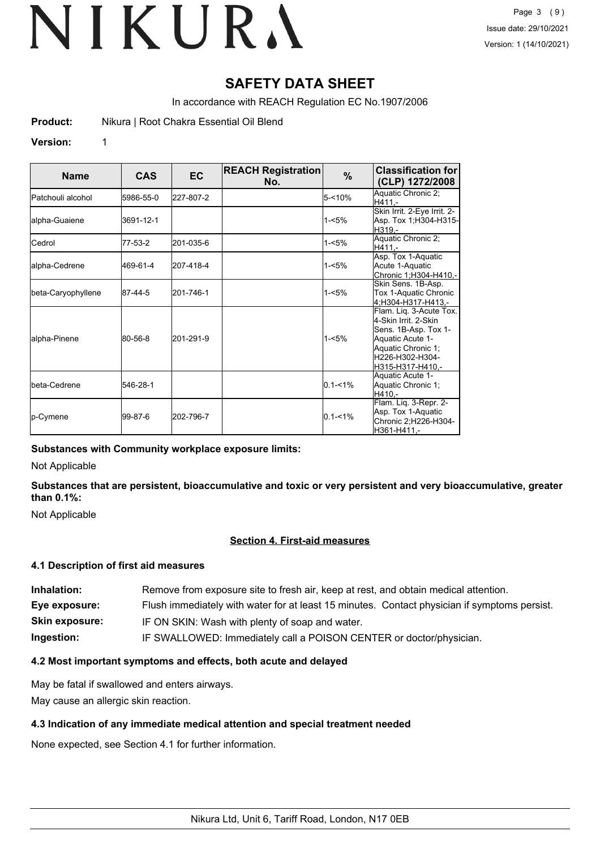### **SAFETY DATA SHEET**

In accordance with REACH Regulation EC No.1907/2006

**Product:** Nikura | Root Chakra Essential Oil Blend

#### **Version:** 1

| <b>Name</b>                | <b>CAS</b> | <b>EC</b> | <b>REACH Registration</b><br>No. | $\%$        | <b>Classification for</b><br>(CLP) 1272/2008                                                                                                             |
|----------------------------|------------|-----------|----------------------------------|-------------|----------------------------------------------------------------------------------------------------------------------------------------------------------|
| <b>I</b> Patchouli alcohol | 5986-55-0  | 227-807-2 |                                  | $5 - 10%$   | Aquatic Chronic 2;<br>H411.-                                                                                                                             |
| alpha-Guaiene              | 3691-12-1  |           |                                  | $1 - 5%$    | Skin Irrit. 2-Eye Irrit. 2-<br>Asp. Tox 1;H304-H315-<br>H319.-                                                                                           |
| Cedrol                     | 77-53-2    | 201-035-6 |                                  | $1 - 5%$    | Aquatic Chronic 2;<br>H411.-                                                                                                                             |
| alpha-Cedrene              | 469-61-4   | 207-418-4 |                                  | $1 - 5%$    | Asp. Tox 1-Aquatic<br>Acute 1-Aquatic<br>Chronic 1;H304-H410,-                                                                                           |
| beta-Caryophyllene         | 87-44-5    | 201-746-1 |                                  | $1 - 5%$    | Skin Sens. 1B-Asp.<br>Tox 1-Aquatic Chronic<br>4:H304-H317-H413.-                                                                                        |
| alpha-Pinene               | 80-56-8    | 201-291-9 |                                  | $1 - 5%$    | Flam. Lig. 3-Acute Tox.<br>4-Skin Irrit, 2-Skin<br>Sens. 1B-Asp. Tox 1-<br>Aquatic Acute 1-<br>Aquatic Chronic 1;<br>H226-H302-H304-<br>H315-H317-H410.- |
| <b>I</b> beta-Cedrene      | 546-28-1   |           |                                  | $0.1 - 1\%$ | Aquatic Acute 1-<br>Aquatic Chronic 1;<br>H410.-                                                                                                         |
| <b>p-Cymene</b>            | 199-87-6   | 202-796-7 |                                  | $0.1 - 1\%$ | Flam. Liq. 3-Repr. 2-<br>Asp. Tox 1-Aquatic<br>Chronic 2;H226-H304-<br>lH361-H411.-                                                                      |

#### **Substances with Community workplace exposure limits:**

Not Applicable

**Substances that are persistent, bioaccumulative and toxic or very persistent and very bioaccumulative, greater than 0.1%:**

Not Applicable

#### **Section 4. First-aid measures**

#### **4.1 Description of first aid measures**

| Inhalation:           | Remove from exposure site to fresh air, keep at rest, and obtain medical attention.          |
|-----------------------|----------------------------------------------------------------------------------------------|
| Eye exposure:         | Flush immediately with water for at least 15 minutes. Contact physician if symptoms persist. |
| <b>Skin exposure:</b> | IF ON SKIN: Wash with plenty of soap and water.                                              |
| Ingestion:            | IF SWALLOWED: Immediately call a POISON CENTER or doctor/physician.                          |

#### **4.2 Most important symptoms and effects, both acute and delayed**

May be fatal if swallowed and enters airways.

May cause an allergic skin reaction.

#### **4.3 Indication of any immediate medical attention and special treatment needed**

None expected, see Section 4.1 for further information.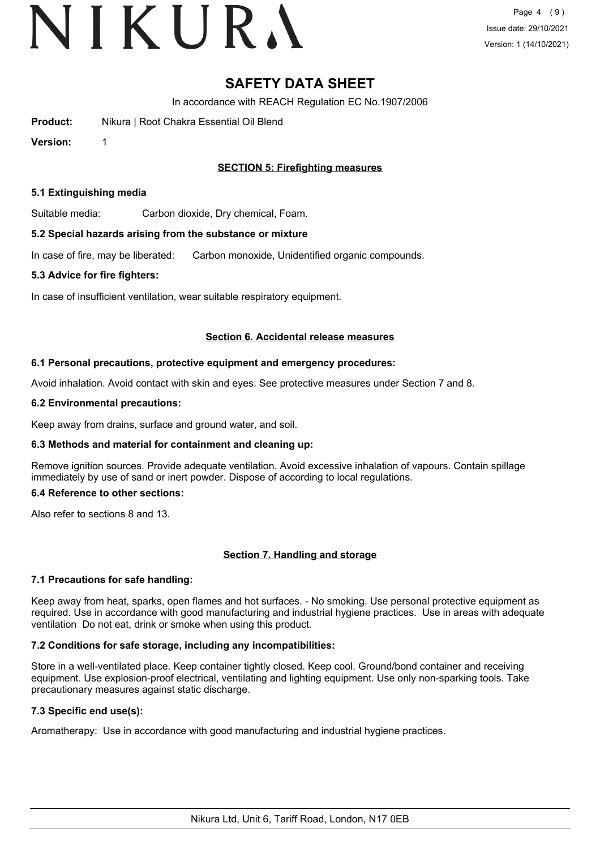# VIKURA

### **SAFETY DATA SHEET**

In accordance with REACH Regulation EC No.1907/2006

**Product:** Nikura | Root Chakra Essential Oil Blend

**Version:** 1

#### **SECTION 5: Firefighting measures**

#### **5.1 Extinguishing media**

Suitable media: Carbon dioxide, Dry chemical, Foam.

#### **5.2 Special hazards arising from the substance or mixture**

In case of fire, may be liberated: Carbon monoxide, Unidentified organic compounds.

#### **5.3 Advice for fire fighters:**

In case of insufficient ventilation, wear suitable respiratory equipment.

#### **Section 6. Accidental release measures**

#### **6.1 Personal precautions, protective equipment and emergency procedures:**

Avoid inhalation. Avoid contact with skin and eyes. See protective measures under Section 7 and 8.

#### **6.2 Environmental precautions:**

Keep away from drains, surface and ground water, and soil.

#### **6.3 Methods and material for containment and cleaning up:**

Remove ignition sources. Provide adequate ventilation. Avoid excessive inhalation of vapours. Contain spillage immediately by use of sand or inert powder. Dispose of according to local regulations.

#### **6.4 Reference to other sections:**

Also refer to sections 8 and 13.

#### **Section 7. Handling and storage**

#### **7.1 Precautions for safe handling:**

Keep away from heat, sparks, open flames and hot surfaces. - No smoking. Use personal protective equipment as required. Use in accordance with good manufacturing and industrial hygiene practices. Use in areas with adequate ventilation Do not eat, drink or smoke when using this product.

#### **7.2 Conditions for safe storage, including any incompatibilities:**

Store in a well-ventilated place. Keep container tightly closed. Keep cool. Ground/bond container and receiving equipment. Use explosion-proof electrical, ventilating and lighting equipment. Use only non-sparking tools. Take precautionary measures against static discharge.

#### **7.3 Specific end use(s):**

Aromatherapy: Use in accordance with good manufacturing and industrial hygiene practices.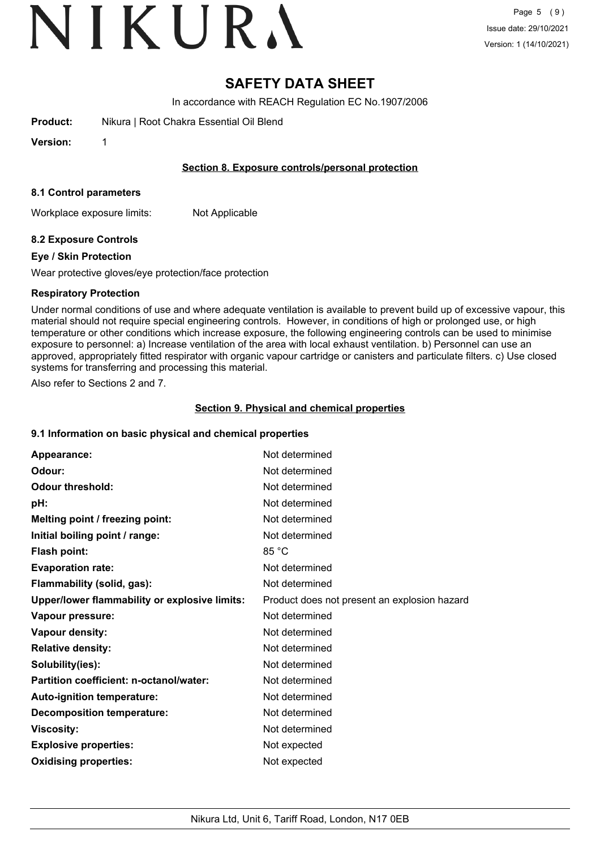# VIKURA

### **SAFETY DATA SHEET**

In accordance with REACH Regulation EC No.1907/2006

**Product:** Nikura | Root Chakra Essential Oil Blend

**Version:** 1

#### **Section 8. Exposure controls/personal protection**

#### **8.1 Control parameters**

Workplace exposure limits: Not Applicable

#### **8.2 Exposure Controls**

#### **Eye / Skin Protection**

Wear protective gloves/eye protection/face protection

#### **Respiratory Protection**

Under normal conditions of use and where adequate ventilation is available to prevent build up of excessive vapour, this material should not require special engineering controls. However, in conditions of high or prolonged use, or high temperature or other conditions which increase exposure, the following engineering controls can be used to minimise exposure to personnel: a) Increase ventilation of the area with local exhaust ventilation. b) Personnel can use an approved, appropriately fitted respirator with organic vapour cartridge or canisters and particulate filters. c) Use closed systems for transferring and processing this material.

Also refer to Sections 2 and 7.

#### **Section 9. Physical and chemical properties**

#### **9.1 Information on basic physical and chemical properties**

| Appearance:                                   | Not determined                               |
|-----------------------------------------------|----------------------------------------------|
| Odour:                                        | Not determined                               |
| <b>Odour threshold:</b>                       | Not determined                               |
| pH:                                           | Not determined                               |
| Melting point / freezing point:               | Not determined                               |
| Initial boiling point / range:                | Not determined                               |
| Flash point:                                  | 85 °C                                        |
| <b>Evaporation rate:</b>                      | Not determined                               |
| Flammability (solid, gas):                    | Not determined                               |
| Upper/lower flammability or explosive limits: | Product does not present an explosion hazard |
| Vapour pressure:                              | Not determined                               |
| Vapour density:                               | Not determined                               |
| <b>Relative density:</b>                      | Not determined                               |
| Solubility(ies):                              | Not determined                               |
| Partition coefficient: n-octanol/water:       | Not determined                               |
| Auto-ignition temperature:                    | Not determined                               |
| <b>Decomposition temperature:</b>             | Not determined                               |
| <b>Viscosity:</b>                             | Not determined                               |
| <b>Explosive properties:</b>                  | Not expected                                 |
| <b>Oxidising properties:</b>                  | Not expected                                 |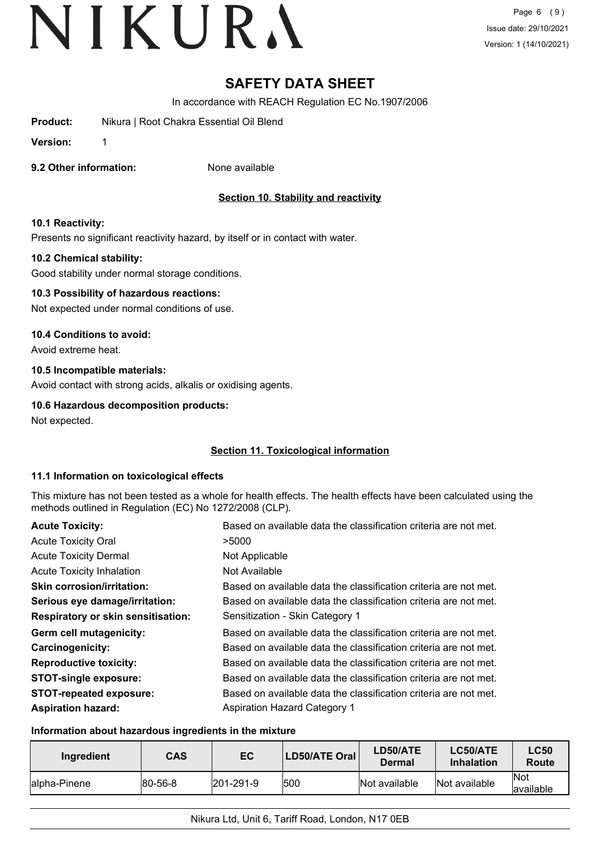Page 6 (9) Issue date: 29/10/2021 Version: 1 (14/10/2021)

### **SAFETY DATA SHEET**

In accordance with REACH Regulation EC No.1907/2006

**Product:** Nikura | Root Chakra Essential Oil Blend

**Version:** 1

**9.2 Other information:** None available

### **Section 10. Stability and reactivity**

#### **10.1 Reactivity:**

Presents no significant reactivity hazard, by itself or in contact with water.

#### **10.2 Chemical stability:**

Good stability under normal storage conditions.

#### **10.3 Possibility of hazardous reactions:**

Not expected under normal conditions of use.

#### **10.4 Conditions to avoid:**

Avoid extreme heat.

#### **10.5 Incompatible materials:**

Avoid contact with strong acids, alkalis or oxidising agents.

#### **10.6 Hazardous decomposition products:**

Not expected.

#### **Section 11. Toxicological information**

#### **11.1 Information on toxicological effects**

This mixture has not been tested as a whole for health effects. The health effects have been calculated using the methods outlined in Regulation (EC) No 1272/2008 (CLP).

| <b>Acute Toxicity:</b>                    | Based on available data the classification criteria are not met. |
|-------------------------------------------|------------------------------------------------------------------|
| <b>Acute Toxicity Oral</b>                | >5000                                                            |
| <b>Acute Toxicity Dermal</b>              | Not Applicable                                                   |
| <b>Acute Toxicity Inhalation</b>          | Not Available                                                    |
| <b>Skin corrosion/irritation:</b>         | Based on available data the classification criteria are not met. |
| Serious eye damage/irritation:            | Based on available data the classification criteria are not met. |
| <b>Respiratory or skin sensitisation:</b> | Sensitization - Skin Category 1                                  |
| Germ cell mutagenicity:                   | Based on available data the classification criteria are not met. |
| <b>Carcinogenicity:</b>                   | Based on available data the classification criteria are not met. |
| <b>Reproductive toxicity:</b>             | Based on available data the classification criteria are not met. |
| <b>STOT-single exposure:</b>              | Based on available data the classification criteria are not met. |
| <b>STOT-repeated exposure:</b>            | Based on available data the classification criteria are not met. |
| <b>Aspiration hazard:</b>                 | <b>Aspiration Hazard Category 1</b>                              |

#### **Information about hazardous ingredients in the mixture**

| Ingredient    | CAS     | EC                | LD50/ATE Oral | LD50/ATE<br>Dermal | LC50/ATE<br><b>Inhalation</b> | <b>LC50</b><br>Route     |
|---------------|---------|-------------------|---------------|--------------------|-------------------------------|--------------------------|
| lalpha-Pinene | 80-56-8 | $ 201 - 291 - 9 $ | 500           | Not available      | Not available                 | <b>Not</b><br>lavailable |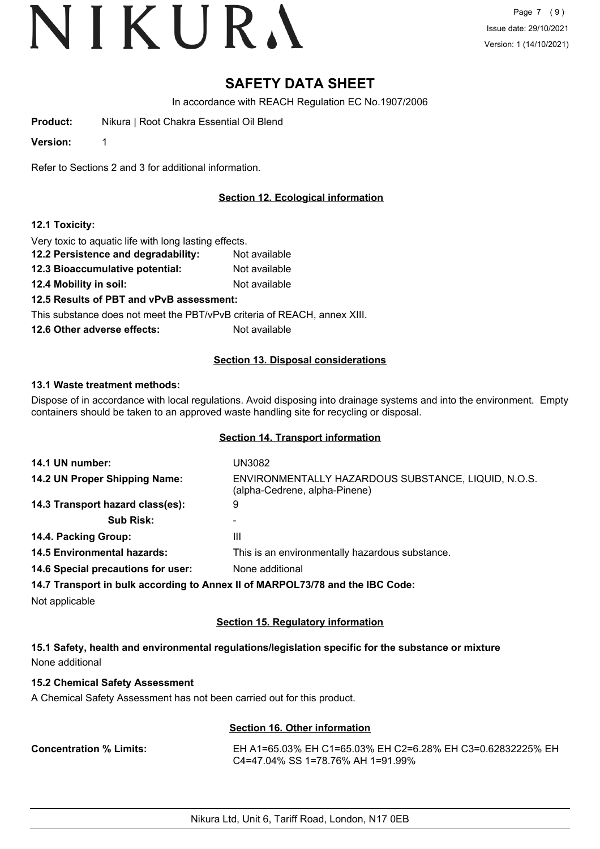Page 7 (9) Issue date: 29/10/2021 Version: 1 (14/10/2021)

### **SAFETY DATA SHEET**

In accordance with REACH Regulation EC No.1907/2006

**Product:** Nikura | Root Chakra Essential Oil Blend

**Version:** 1

Refer to Sections 2 and 3 for additional information.

#### **Section 12. Ecological information**

#### **12.1 Toxicity:**

Very toxic to aquatic life with long lasting effects.

- **12.2 Persistence and degradability:** Not available
- **12.3 Bioaccumulative potential:** Not available
- **12.4 Mobility in soil:** Not available

**12.5 Results of PBT and vPvB assessment:**

This substance does not meet the PBT/vPvB criteria of REACH, annex XIII.

**12.6 Other adverse effects:** Not available

#### **Section 13. Disposal considerations**

#### **13.1 Waste treatment methods:**

Dispose of in accordance with local regulations. Avoid disposing into drainage systems and into the environment. Empty containers should be taken to an approved waste handling site for recycling or disposal.

#### **Section 14. Transport information**

| 14.1 UN number:                    | UN3082                                                                               |
|------------------------------------|--------------------------------------------------------------------------------------|
| 14.2 UN Proper Shipping Name:      | ENVIRONMENTALLY HAZARDOUS SUBSTANCE, LIQUID, N.O.S.<br>(alpha-Cedrene, alpha-Pinene) |
| 14.3 Transport hazard class(es):   | 9                                                                                    |
| <b>Sub Risk:</b>                   |                                                                                      |
| 14.4. Packing Group:               | Ш                                                                                    |
| <b>14.5 Environmental hazards:</b> | This is an environmentally hazardous substance.                                      |
| 14.6 Special precautions for user: | None additional                                                                      |
|                                    | 14.7 Transport in bulk according to Annex II of MARPOL73/78 and the IBC Code:        |
| Not applicable                     |                                                                                      |

#### **Section 15. Regulatory information**

**15.1 Safety, health and environmental regulations/legislation specific for the substance or mixture** None additional

#### **15.2 Chemical Safety Assessment**

A Chemical Safety Assessment has not been carried out for this product.

#### **Section 16. Other information**

**Concentration % Limits:** EH A1=65.03% EH C1=65.03% EH C2=6.28% EH C3=0.62832225% EH C4=47.04% SS 1=78.76% AH 1=91.99%

Nikura Ltd, Unit 6, Tariff Road, London, N17 0EB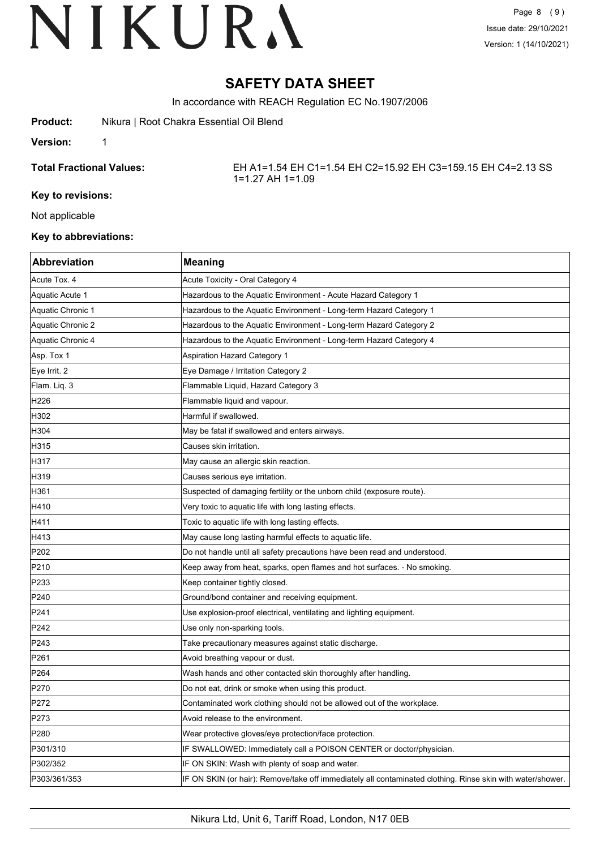Page 8 (9) Issue date: 29/10/2021 Version: 1 (14/10/2021)

### **SAFETY DATA SHEET**

In accordance with REACH Regulation EC No.1907/2006

#### **Version:** 1

**Total Fractional Values:** EH A1=1.54 EH C1=1.54 EH C2=15.92 EH C3=159.15 EH C4=2.13 SS 1=1.27 AH 1=1.09

#### **Key to revisions:**

Not applicable

#### **Key to abbreviations:**

| <b>Abbreviation</b> | <b>Meaning</b>                                                                                             |
|---------------------|------------------------------------------------------------------------------------------------------------|
| Acute Tox. 4        | Acute Toxicity - Oral Category 4                                                                           |
| Aquatic Acute 1     | Hazardous to the Aquatic Environment - Acute Hazard Category 1                                             |
| Aquatic Chronic 1   | Hazardous to the Aquatic Environment - Long-term Hazard Category 1                                         |
| Aquatic Chronic 2   | Hazardous to the Aquatic Environment - Long-term Hazard Category 2                                         |
| Aquatic Chronic 4   | Hazardous to the Aquatic Environment - Long-term Hazard Category 4                                         |
| Asp. Tox 1          | <b>Aspiration Hazard Category 1</b>                                                                        |
| Eye Irrit. 2        | Eye Damage / Irritation Category 2                                                                         |
| Flam. Liq. 3        | Flammable Liquid, Hazard Category 3                                                                        |
| H226                | Flammable liquid and vapour.                                                                               |
| H302                | Harmful if swallowed.                                                                                      |
| H304                | May be fatal if swallowed and enters airways.                                                              |
| H315                | Causes skin irritation.                                                                                    |
| H317                | May cause an allergic skin reaction.                                                                       |
| H319                | Causes serious eye irritation.                                                                             |
| H361                | Suspected of damaging fertility or the unborn child (exposure route).                                      |
| H410                | Very toxic to aquatic life with long lasting effects.                                                      |
| H411                | Toxic to aquatic life with long lasting effects.                                                           |
| H413                | May cause long lasting harmful effects to aquatic life.                                                    |
| P <sub>202</sub>    | Do not handle until all safety precautions have been read and understood.                                  |
| P210                | Keep away from heat, sparks, open flames and hot surfaces. - No smoking.                                   |
| P233                | Keep container tightly closed.                                                                             |
| P240                | Ground/bond container and receiving equipment.                                                             |
| P <sub>241</sub>    | Use explosion-proof electrical, ventilating and lighting equipment.                                        |
| P242                | Use only non-sparking tools.                                                                               |
| P243                | Take precautionary measures against static discharge.                                                      |
| P261                | Avoid breathing vapour or dust.                                                                            |
| P <sub>264</sub>    | Wash hands and other contacted skin thoroughly after handling.                                             |
| P270                | Do not eat, drink or smoke when using this product.                                                        |
| P272                | Contaminated work clothing should not be allowed out of the workplace.                                     |
| P273                | Avoid release to the environment.                                                                          |
| P280                | Wear protective gloves/eye protection/face protection.                                                     |
| P301/310            | IF SWALLOWED: Immediately call a POISON CENTER or doctor/physician.                                        |
| P302/352            | IF ON SKIN: Wash with plenty of soap and water.                                                            |
| P303/361/353        | IF ON SKIN (or hair): Remove/take off immediately all contaminated clothing. Rinse skin with water/shower. |